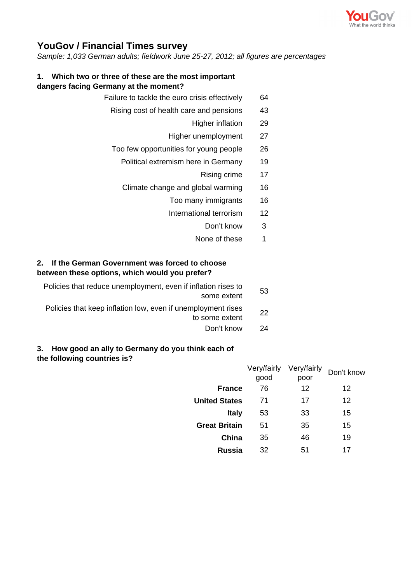

## **YouGov / Financial Times survey**

*Sample: 1,033 German adults; fieldwork June 25-27, 2012; all figures are percentages*

## **1. Which two or three of these are the most important dangers facing Germany at the moment?**

- Failure to tackle the euro crisis effectively 64
	- Rising cost of health care and pensions 43
		- Higher inflation 29
		- Higher unemployment 27
	- Too few opportunities for young people 26
		- Political extremism here in Germany 19
			- Rising crime 17
		- Climate change and global warming 16
			- Too many immigrants 16
			- International terrorism 12
				- Don't know 3
				- None of these 1

## **2. If the German Government was forced to choose between these options, which would you prefer?**

| 53 | Policies that reduce unemployment, even if inflation rises to<br>some extent   |
|----|--------------------------------------------------------------------------------|
| 22 | Policies that keep inflation low, even if unemployment rises<br>to some extent |
|    |                                                                                |

Don't know 24

## **3. How good an ally to Germany do you think each of the following countries is?**

|                      | Very/fairly | Very/fairly | Don't know        |  |
|----------------------|-------------|-------------|-------------------|--|
|                      | good        | poor        |                   |  |
| <b>France</b>        | 76          | 12          | 12                |  |
| <b>United States</b> | 71          | 17          | $12 \overline{ }$ |  |
| <b>Italy</b>         | 53          | 33          | 15                |  |
| <b>Great Britain</b> | 51          | 35          | 15                |  |
| China                | 35          | 46          | 19                |  |
| Russia               | 32          | 51          | 17                |  |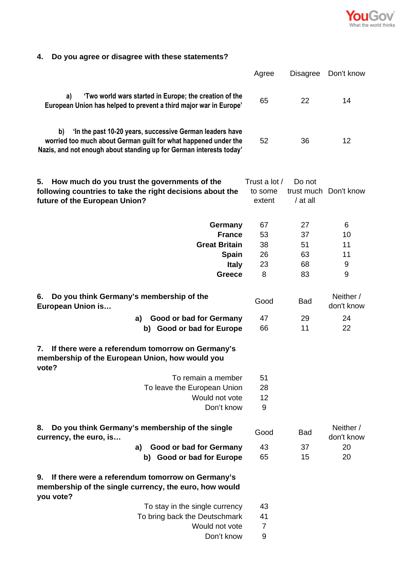

| 4. Do you agree or disagree with these statements? |  |  |
|----------------------------------------------------|--|--|
|                                                    |  |  |

|                                                                                                                                                                                                          | Agree                              | <b>Disagree</b>                  | Don't know                    |
|----------------------------------------------------------------------------------------------------------------------------------------------------------------------------------------------------------|------------------------------------|----------------------------------|-------------------------------|
| 'Two world wars started in Europe; the creation of the<br>a)<br>European Union has helped to prevent a third major war in Europe'                                                                        | 65                                 | 22                               | 14                            |
| 'In the past 10-20 years, successive German leaders have<br>b)<br>worried too much about German guilt for what happened under the<br>Nazis, and not enough about standing up for German interests today' | 52                                 | 36                               | 12                            |
| How much do you trust the governments of the<br>5.<br>following countries to take the right decisions about the<br>future of the European Union?                                                         | Trust a lot /<br>to some<br>extent | Do not<br>trust much<br>/ at all | Don't know                    |
| Germany<br><b>France</b><br><b>Great Britain</b><br><b>Spain</b><br><b>Italy</b><br><b>Greece</b>                                                                                                        | 67<br>53<br>38<br>26<br>23<br>8    | 27<br>37<br>51<br>63<br>68<br>83 | 6<br>10<br>11<br>11<br>9<br>9 |
| Do you think Germany's membership of the<br>6.<br>European Union is                                                                                                                                      | Good                               | <b>Bad</b>                       | Neither /<br>don't know       |
| Good or bad for Germany<br>a)                                                                                                                                                                            | 47                                 | 29                               | 24                            |
| <b>Good or bad for Europe</b><br>b)                                                                                                                                                                      | 66                                 | 11                               | 22                            |
| If there were a referendum tomorrow on Germany's<br>7.<br>membership of the European Union, how would you<br>vote?<br>To remain a member<br>To leave the European Union<br>Would not vote<br>Don't know  | 51<br>28<br>12<br>9                |                                  |                               |
| Do you think Germany's membership of the single<br>8.<br>currency, the euro, is                                                                                                                          | Good                               | <b>Bad</b>                       | Neither /<br>don't know       |
| Good or bad for Germany<br>a)                                                                                                                                                                            | 43                                 | 37                               | 20                            |
| b) Good or bad for Europe                                                                                                                                                                                | 65                                 | 15                               | 20                            |
| If there were a referendum tomorrow on Germany's<br>9.<br>membership of the single currency, the euro, how would<br>you vote?                                                                            |                                    |                                  |                               |
| To stay in the single currency                                                                                                                                                                           | 43                                 |                                  |                               |
| To bring back the Deutschmark                                                                                                                                                                            | 41                                 |                                  |                               |
| Would not vote                                                                                                                                                                                           | $\overline{7}$                     |                                  |                               |
| Don't know                                                                                                                                                                                               | 9                                  |                                  |                               |